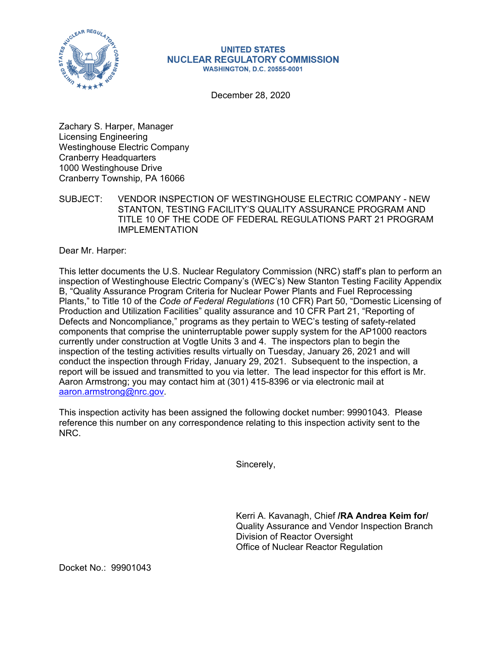

## **UNITED STATES NUCLEAR REGULATORY COMMISSION WASHINGTON, D.C. 20555-0001**

December 28, 2020

Zachary S. Harper, Manager Licensing Engineering Westinghouse Electric Company Cranberry Headquarters 1000 Westinghouse Drive Cranberry Township, PA 16066

SUBJECT: VENDOR INSPECTION OF WESTINGHOUSE ELECTRIC COMPANY - NEW STANTON, TESTING FACILITY'S QUALITY ASSURANCE PROGRAM AND TITLE 10 OF THE CODE OF FEDERAL REGULATIONS PART 21 PROGRAM IMPI FMFNTATION

Dear Mr. Harper:

This letter documents the U.S. Nuclear Regulatory Commission (NRC) staff's plan to perform an inspection of Westinghouse Electric Company's (WEC's) New Stanton Testing Facility Appendix B, "Quality Assurance Program Criteria for Nuclear Power Plants and Fuel Reprocessing Plants," to Title 10 of the *Code of Federal Regulations* (10 CFR) Part 50, "Domestic Licensing of Production and Utilization Facilities" quality assurance and 10 CFR Part 21, "Reporting of Defects and Noncompliance," programs as they pertain to WEC's testing of safety-related components that comprise the uninterruptable power supply system for the AP1000 reactors currently under construction at Vogtle Units 3 and 4. The inspectors plan to begin the inspection of the testing activities results virtually on Tuesday, January 26, 2021 and will conduct the inspection through Friday, January 29, 2021. Subsequent to the inspection, a report will be issued and transmitted to you via letter. The lead inspector for this effort is Mr. Aaron Armstrong; you may contact him at (301) 415-8396 or via electronic mail at aaron.armstrong@nrc.gov.

This inspection activity has been assigned the following docket number: 99901043. Please reference this number on any correspondence relating to this inspection activity sent to the NRC.

Sincerely,

Kerri A. Kavanagh, Chief **/RA Andrea Keim for/**  Quality Assurance and Vendor Inspection Branch Division of Reactor Oversight Office of Nuclear Reactor Regulation

Docket No.: 99901043